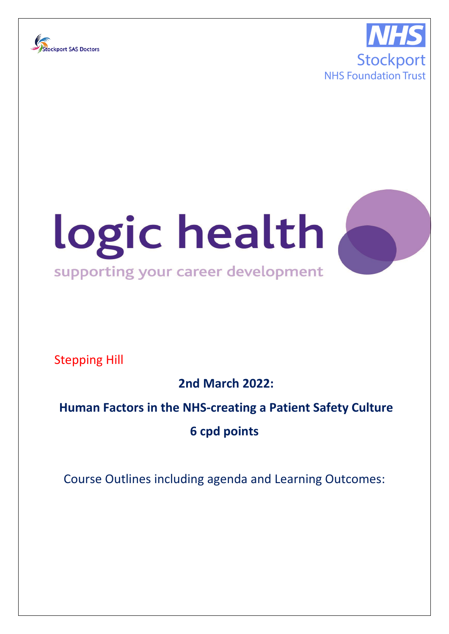





Stepping Hill

**2nd March 2022:** 

## **Human Factors in the NHS-creating a Patient Safety Culture**

**6 cpd points**

Course Outlines including agenda and Learning Outcomes: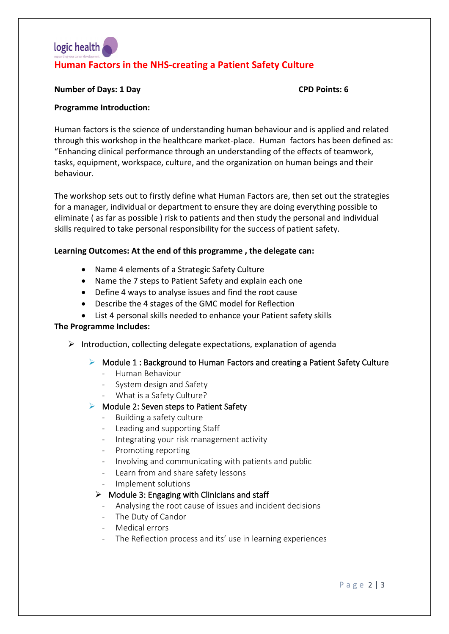# logic health **Human Factors in the NHS-creating a Patient Safety Culture**

#### **Number of Days: 1 Day CPD Points: 6**

#### **Programme Introduction:**

Human factors is the science of understanding human behaviour and is applied and related through this workshop in the healthcare market-place. Human factors has been defined as: "Enhancing clinical performance through an understanding of the effects of teamwork, tasks, equipment, workspace, culture, and the organization on human beings and their behaviour.

The workshop sets out to firstly define what Human Factors are, then set out the strategies for a manager, individual or department to ensure they are doing everything possible to eliminate ( as far as possible ) risk to patients and then study the personal and individual skills required to take personal responsibility for the success of patient safety.

#### **Learning Outcomes: At the end of this programme , the delegate can:**

- Name 4 elements of a Strategic Safety Culture
- Name the 7 steps to Patient Safety and explain each one
- Define 4 ways to analyse issues and find the root cause
- Describe the 4 stages of the GMC model for Reflection
- List 4 personal skills needed to enhance your Patient safety skills

#### **The Programme Includes:**

- $\triangleright$  Introduction, collecting delegate expectations, explanation of agenda
	- $\triangleright$  Module 1 : Background to Human Factors and creating a Patient Safety Culture
		- Human Behaviour
		- System design and Safety
		- What is a Safety Culture?

#### $\triangleright$  Module 2: Seven steps to Patient Safety

- Building a safety culture
- Leading and supporting Staff
- Integrating your risk management activity
- Promoting reporting
- Involving and communicating with patients and public
- Learn from and share safety lessons
- Implement solutions

### $\triangleright$  Module 3: Engaging with Clinicians and staff

- Analysing the root cause of issues and incident decisions
- The Duty of Candor
- Medical errors
- The Reflection process and its' use in learning experiences